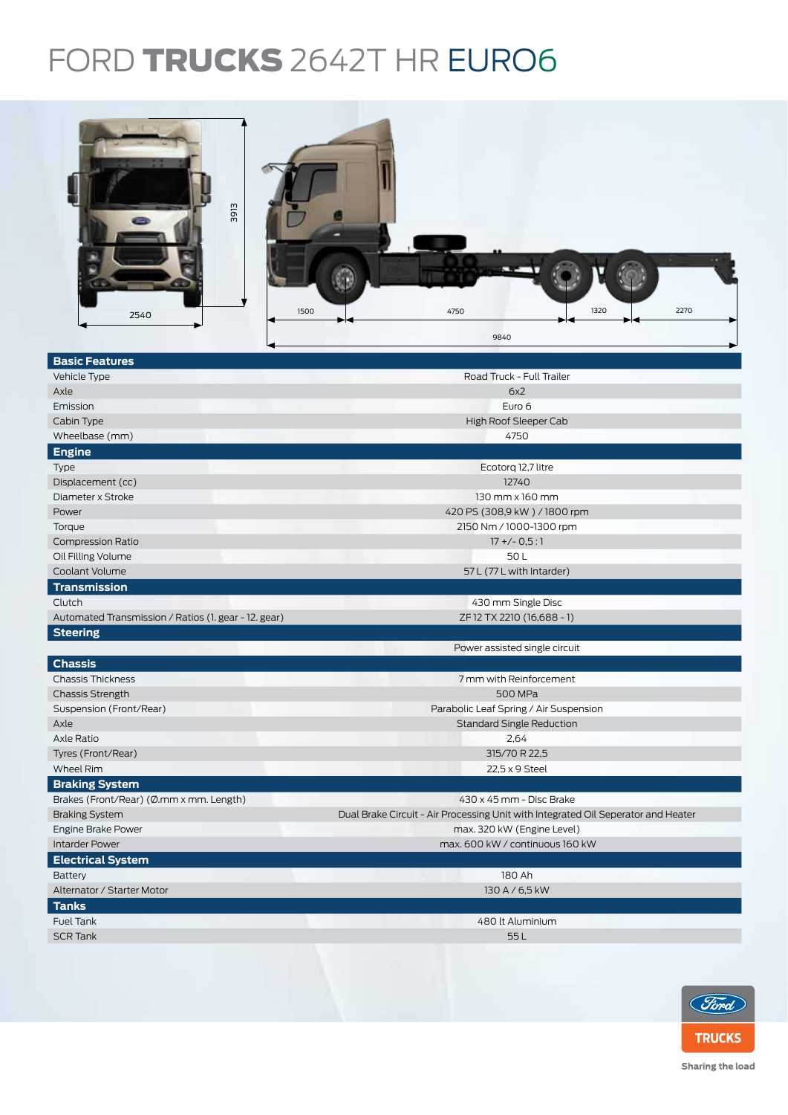## FORD TRUCKS 2642T HR EURO6



| <b>Basic Features</b>                                |                                                                                   |  |  |  |
|------------------------------------------------------|-----------------------------------------------------------------------------------|--|--|--|
| Vehicle Type                                         | Road Truck - Full Trailer                                                         |  |  |  |
| Axle                                                 | 6x2                                                                               |  |  |  |
| Emission                                             | Euro 6                                                                            |  |  |  |
| Cabin Type                                           | High Roof Sleeper Cab                                                             |  |  |  |
| Wheelbase (mm)                                       | 4750                                                                              |  |  |  |
| <b>Engine</b>                                        |                                                                                   |  |  |  |
| Type                                                 | Ecotorg 12,7 litre                                                                |  |  |  |
| Displacement (cc)                                    | 12740                                                                             |  |  |  |
| Diameter x Stroke                                    | $130$ mm $\times$ 160 mm                                                          |  |  |  |
| Power                                                | 420 PS (308,9 kW) / 1800 rpm                                                      |  |  |  |
| Torque                                               | 2150 Nm / 1000-1300 rpm                                                           |  |  |  |
| <b>Compression Ratio</b>                             | $17 + (-0.5:1)$                                                                   |  |  |  |
| Oil Filling Volume                                   | 50L                                                                               |  |  |  |
| Coolant Volume                                       | 57 L (77 L with Intarder)                                                         |  |  |  |
| <b>Transmission</b>                                  |                                                                                   |  |  |  |
| Clutch                                               | 430 mm Single Disc                                                                |  |  |  |
| Automated Transmission / Ratios (1. gear - 12. gear) | ZF 12 TX 2210 (16,688 - 1)                                                        |  |  |  |
| <b>Steering</b>                                      |                                                                                   |  |  |  |
|                                                      | Power assisted single circuit                                                     |  |  |  |
| <b>Chassis</b>                                       |                                                                                   |  |  |  |
| <b>Chassis Thickness</b>                             | 7 mm with Reinforcement                                                           |  |  |  |
| <b>Chassis Strength</b>                              | 500 MPa                                                                           |  |  |  |
| Suspension (Front/Rear)                              | Parabolic Leaf Spring / Air Suspension                                            |  |  |  |
| Axle                                                 | <b>Standard Single Reduction</b>                                                  |  |  |  |
| Axle Ratio                                           | 2,64                                                                              |  |  |  |
| Tyres (Front/Rear)                                   | 315/70 R 22,5                                                                     |  |  |  |
| Wheel Rim                                            | 22,5 x 9 Steel                                                                    |  |  |  |
| <b>Braking System</b>                                |                                                                                   |  |  |  |
| Brakes (Front/Rear) (Ø.mm x mm. Length)              | 430 x 45 mm - Disc Brake                                                          |  |  |  |
| <b>Braking System</b>                                | Dual Brake Circuit - Air Processing Unit with Integrated Oil Seperator and Heater |  |  |  |
| Engine Brake Power                                   | max. 320 kW (Engine Level)                                                        |  |  |  |
| <b>Intarder Power</b>                                | max. 600 kW / continuous 160 kW                                                   |  |  |  |
| <b>Electrical System</b>                             |                                                                                   |  |  |  |
| Battery                                              | 180 Ah                                                                            |  |  |  |
| Alternator / Starter Motor                           | 130 A / 6,5 kW                                                                    |  |  |  |
| <b>Tanks</b>                                         |                                                                                   |  |  |  |
| Fuel Tank                                            | 480 lt Aluminium                                                                  |  |  |  |
| <b>SCR Tank</b>                                      | 55L                                                                               |  |  |  |
|                                                      |                                                                                   |  |  |  |